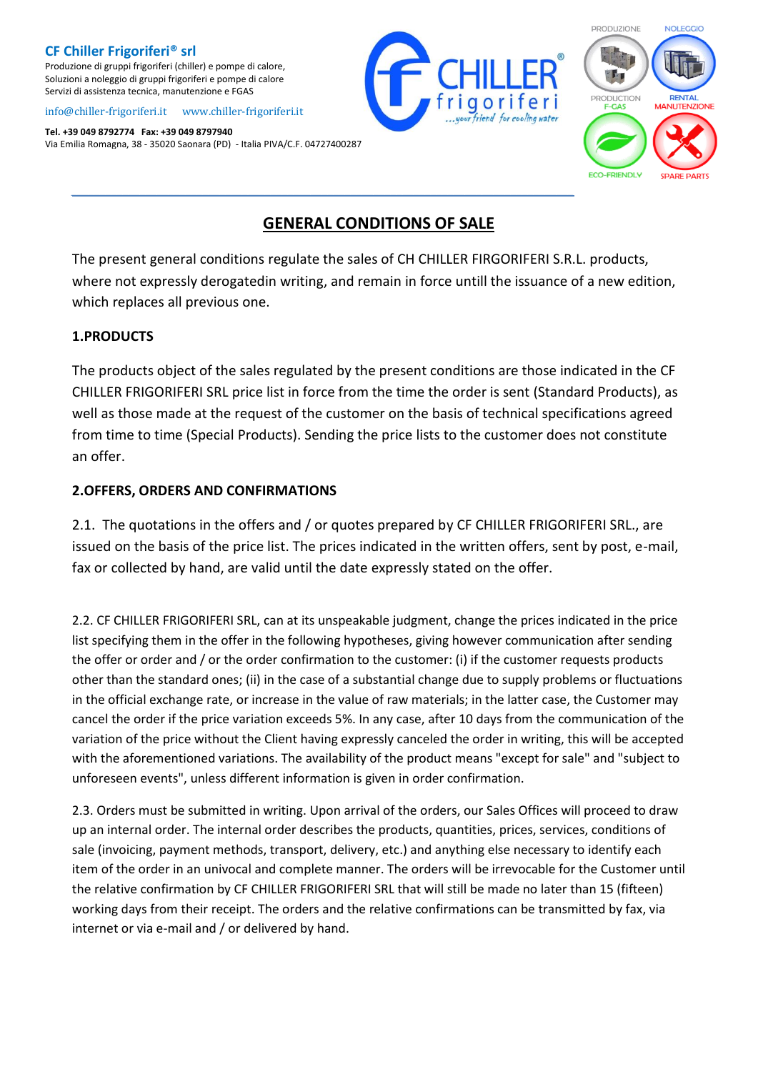Produzione di gruppi frigoriferi (chiller) e pompe di calore, Soluzioni a noleggio di gruppi frigoriferi e pompe di calore Servizi di assistenza tecnica, manutenzione e FGAS

#### [info@chiller-frigoriferi.it](mailto:info@chiller-frigoriferi.it)[www.chiller-frigoriferi.it](http://www.chiller-frigoriferi.it/)

**Tel. +39 049 8792774 Fax: +39 049 8797940** Via Emilia Romagna, 38 - 35020 Saonara (PD) - Italia PIVA/C.F. 04727400287



**NOLEGGIO** 

**RENTAL** 

**ULITENZIONE** 

# **GENERAL CONDITIONS OF SALE**

The present general conditions regulate the sales of CH CHILLER FIRGORIFERI S.R.L. products, where not expressly derogatedin writing, and remain in force untill the issuance of a new edition, which replaces all previous one.

### **1.PRODUCTS**

The products object of the sales regulated by the present conditions are those indicated in the CF CHILLER FRIGORIFERI SRL price list in force from the time the order is sent (Standard Products), as well as those made at the request of the customer on the basis of technical specifications agreed from time to time (Special Products). Sending the price lists to the customer does not constitute an offer.

## **2.OFFERS, ORDERS AND CONFIRMATIONS**

2.1. The quotations in the offers and / or quotes prepared by CF CHILLER FRIGORIFERI SRL., are issued on the basis of the price list. The prices indicated in the written offers, sent by post, e-mail, fax or collected by hand, are valid until the date expressly stated on the offer.

2.2. CF CHILLER FRIGORIFERI SRL, can at its unspeakable judgment, change the prices indicated in the price list specifying them in the offer in the following hypotheses, giving however communication after sending the offer or order and / or the order confirmation to the customer: (i) if the customer requests products other than the standard ones; (ii) in the case of a substantial change due to supply problems or fluctuations in the official exchange rate, or increase in the value of raw materials; in the latter case, the Customer may cancel the order if the price variation exceeds 5%. In any case, after 10 days from the communication of the variation of the price without the Client having expressly canceled the order in writing, this will be accepted with the aforementioned variations. The availability of the product means "except for sale" and "subject to unforeseen events", unless different information is given in order confirmation.

2.3. Orders must be submitted in writing. Upon arrival of the orders, our Sales Offices will proceed to draw up an internal order. The internal order describes the products, quantities, prices, services, conditions of sale (invoicing, payment methods, transport, delivery, etc.) and anything else necessary to identify each item of the order in an univocal and complete manner. The orders will be irrevocable for the Customer until the relative confirmation by CF CHILLER FRIGORIFERI SRL that will still be made no later than 15 (fifteen) working days from their receipt. The orders and the relative confirmations can be transmitted by fax, via internet or via e-mail and / or delivered by hand.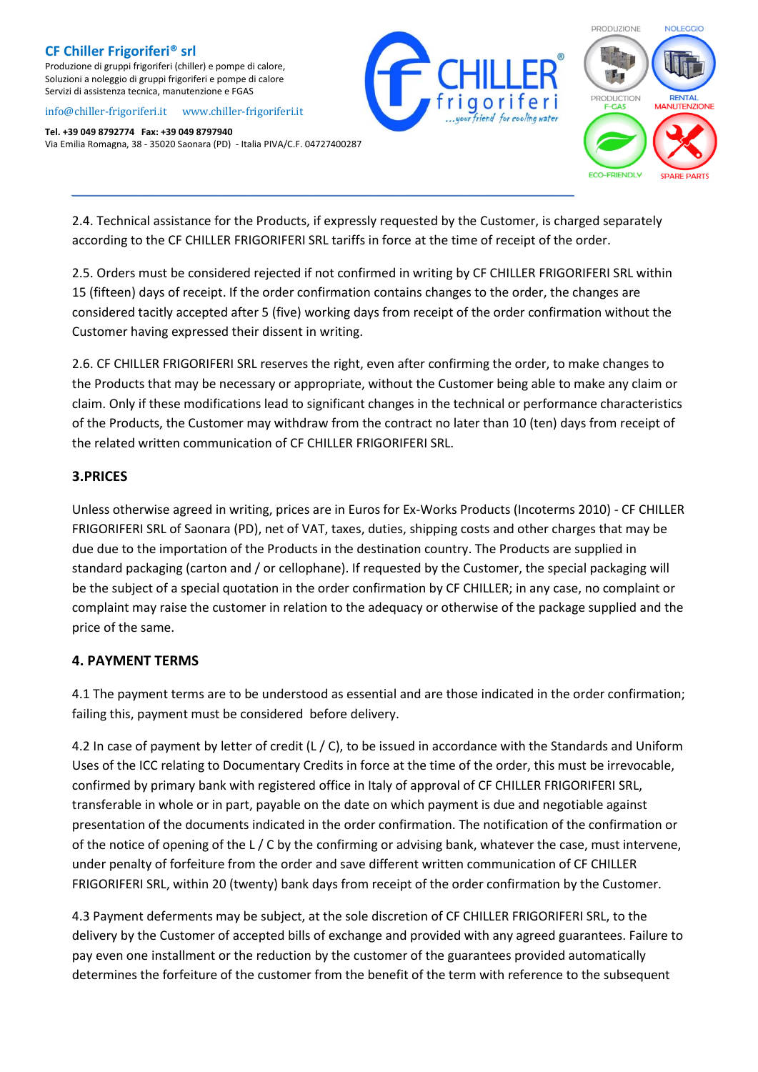Produzione di gruppi frigoriferi (chiller) e pompe di calore, Soluzioni a noleggio di gruppi frigoriferi e pompe di calore Servizi di assistenza tecnica, manutenzione e FGAS

#### [info@chiller-frigoriferi.it](mailto:info@chiller-frigoriferi.it)[www.chiller-frigoriferi.it](http://www.chiller-frigoriferi.it/)

**Tel. +39 049 8792774 Fax: +39 049 8797940** Via Emilia Romagna, 38 - 35020 Saonara (PD) - Italia PIVA/C.F. 04727400287





2.4. Technical assistance for the Products, if expressly requested by the Customer, is charged separately according to the CF CHILLER FRIGORIFERI SRL tariffs in force at the time of receipt of the order.

*\_\_\_\_\_\_\_\_\_\_\_\_\_\_\_\_\_\_\_\_\_\_\_\_\_\_\_\_\_\_\_\_\_\_\_\_\_\_\_\_\_\_\_\_\_\_\_\_\_\_\_\_\_\_\_\_\_\_\_\_\_\_\_\_\_\_\_\_\_\_\_\_\_\_\_\_\_\_\_\_\_\_\_\_\_\_\_\_*

2.5. Orders must be considered rejected if not confirmed in writing by CF CHILLER FRIGORIFERI SRL within 15 (fifteen) days of receipt. If the order confirmation contains changes to the order, the changes are considered tacitly accepted after 5 (five) working days from receipt of the order confirmation without the Customer having expressed their dissent in writing.

2.6. CF CHILLER FRIGORIFERI SRL reserves the right, even after confirming the order, to make changes to the Products that may be necessary or appropriate, without the Customer being able to make any claim or claim. Only if these modifications lead to significant changes in the technical or performance characteristics of the Products, the Customer may withdraw from the contract no later than 10 (ten) days from receipt of the related written communication of CF CHILLER FRIGORIFERI SRL.

### **3.PRICES**

Unless otherwise agreed in writing, prices are in Euros for Ex-Works Products (Incoterms 2010) - CF CHILLER FRIGORIFERI SRL of Saonara (PD), net of VAT, taxes, duties, shipping costs and other charges that may be due due to the importation of the Products in the destination country. The Products are supplied in standard packaging (carton and / or cellophane). If requested by the Customer, the special packaging will be the subject of a special quotation in the order confirmation by CF CHILLER; in any case, no complaint or complaint may raise the customer in relation to the adequacy or otherwise of the package supplied and the price of the same.

# **4. PAYMENT TERMS**

4.1 The payment terms are to be understood as essential and are those indicated in the order confirmation; failing this, payment must be considered before delivery.

4.2 In case of payment by letter of credit (L / C), to be issued in accordance with the Standards and Uniform Uses of the ICC relating to Documentary Credits in force at the time of the order, this must be irrevocable, confirmed by primary bank with registered office in Italy of approval of CF CHILLER FRIGORIFERI SRL, transferable in whole or in part, payable on the date on which payment is due and negotiable against presentation of the documents indicated in the order confirmation. The notification of the confirmation or of the notice of opening of the L / C by the confirming or advising bank, whatever the case, must intervene, under penalty of forfeiture from the order and save different written communication of CF CHILLER FRIGORIFERI SRL, within 20 (twenty) bank days from receipt of the order confirmation by the Customer.

4.3 Payment deferments may be subject, at the sole discretion of CF CHILLER FRIGORIFERI SRL, to the delivery by the Customer of accepted bills of exchange and provided with any agreed guarantees. Failure to pay even one installment or the reduction by the customer of the guarantees provided automatically determines the forfeiture of the customer from the benefit of the term with reference to the subsequent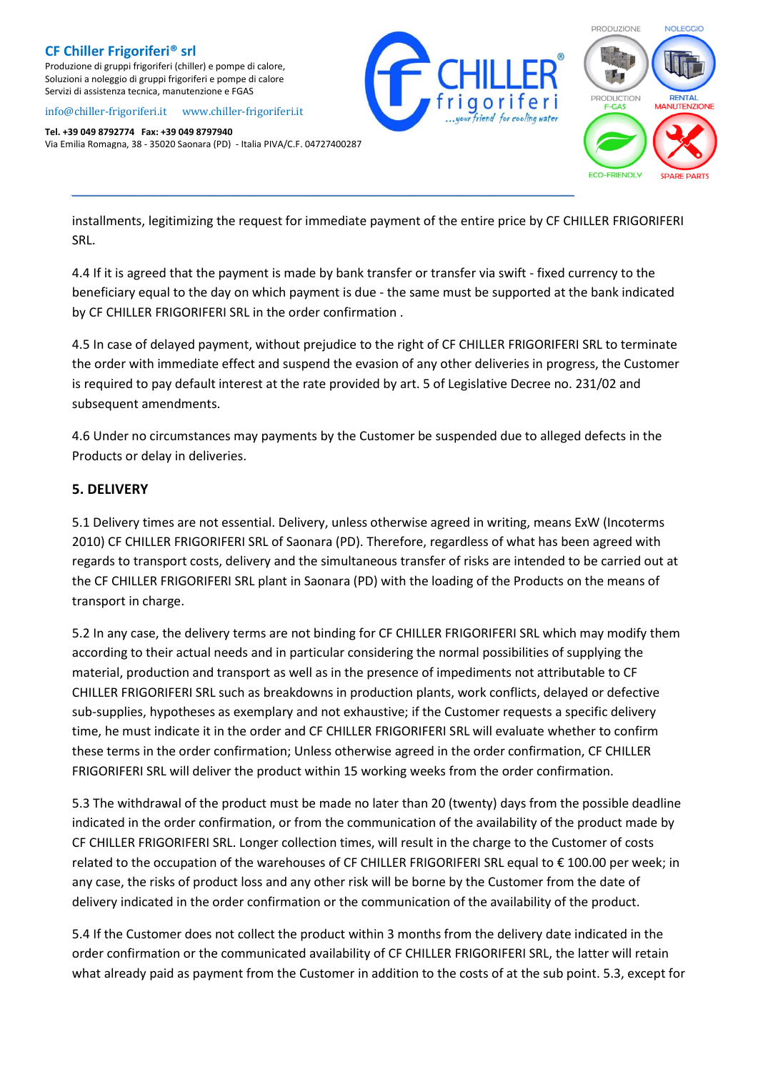Produzione di gruppi frigoriferi (chiller) e pompe di calore, Soluzioni a noleggio di gruppi frigoriferi e pompe di calore Servizi di assistenza tecnica, manutenzione e FGAS

#### [info@chiller-frigoriferi.it](mailto:info@chiller-frigoriferi.it)[www.chiller-frigoriferi.it](http://www.chiller-frigoriferi.it/)

**Tel. +39 049 8792774 Fax: +39 049 8797940** Via Emilia Romagna, 38 - 35020 Saonara (PD) - Italia PIVA/C.F. 04727400287





installments, legitimizing the request for immediate payment of the entire price by CF CHILLER FRIGORIFERI SRL.

*\_\_\_\_\_\_\_\_\_\_\_\_\_\_\_\_\_\_\_\_\_\_\_\_\_\_\_\_\_\_\_\_\_\_\_\_\_\_\_\_\_\_\_\_\_\_\_\_\_\_\_\_\_\_\_\_\_\_\_\_\_\_\_\_\_\_\_\_\_\_\_\_\_\_\_\_\_\_\_\_\_\_\_\_\_\_\_\_*

4.4 If it is agreed that the payment is made by bank transfer or transfer via swift - fixed currency to the beneficiary equal to the day on which payment is due - the same must be supported at the bank indicated by CF CHILLER FRIGORIFERI SRL in the order confirmation .

4.5 In case of delayed payment, without prejudice to the right of CF CHILLER FRIGORIFERI SRL to terminate the order with immediate effect and suspend the evasion of any other deliveries in progress, the Customer is required to pay default interest at the rate provided by art. 5 of Legislative Decree no. 231/02 and subsequent amendments.

4.6 Under no circumstances may payments by the Customer be suspended due to alleged defects in the Products or delay in deliveries.

#### **5. DELIVERY**

5.1 Delivery times are not essential. Delivery, unless otherwise agreed in writing, means ExW (Incoterms 2010) CF CHILLER FRIGORIFERI SRL of Saonara (PD). Therefore, regardless of what has been agreed with regards to transport costs, delivery and the simultaneous transfer of risks are intended to be carried out at the CF CHILLER FRIGORIFERI SRL plant in Saonara (PD) with the loading of the Products on the means of transport in charge.

5.2 In any case, the delivery terms are not binding for CF CHILLER FRIGORIFERI SRL which may modify them according to their actual needs and in particular considering the normal possibilities of supplying the material, production and transport as well as in the presence of impediments not attributable to CF CHILLER FRIGORIFERI SRL such as breakdowns in production plants, work conflicts, delayed or defective sub-supplies, hypotheses as exemplary and not exhaustive; if the Customer requests a specific delivery time, he must indicate it in the order and CF CHILLER FRIGORIFERI SRL will evaluate whether to confirm these terms in the order confirmation; Unless otherwise agreed in the order confirmation, CF CHILLER FRIGORIFERI SRL will deliver the product within 15 working weeks from the order confirmation.

5.3 The withdrawal of the product must be made no later than 20 (twenty) days from the possible deadline indicated in the order confirmation, or from the communication of the availability of the product made by CF CHILLER FRIGORIFERI SRL. Longer collection times, will result in the charge to the Customer of costs related to the occupation of the warehouses of CF CHILLER FRIGORIFERI SRL equal to € 100.00 per week; in any case, the risks of product loss and any other risk will be borne by the Customer from the date of delivery indicated in the order confirmation or the communication of the availability of the product.

5.4 If the Customer does not collect the product within 3 months from the delivery date indicated in the order confirmation or the communicated availability of CF CHILLER FRIGORIFERI SRL, the latter will retain what already paid as payment from the Customer in addition to the costs of at the sub point. 5.3, except for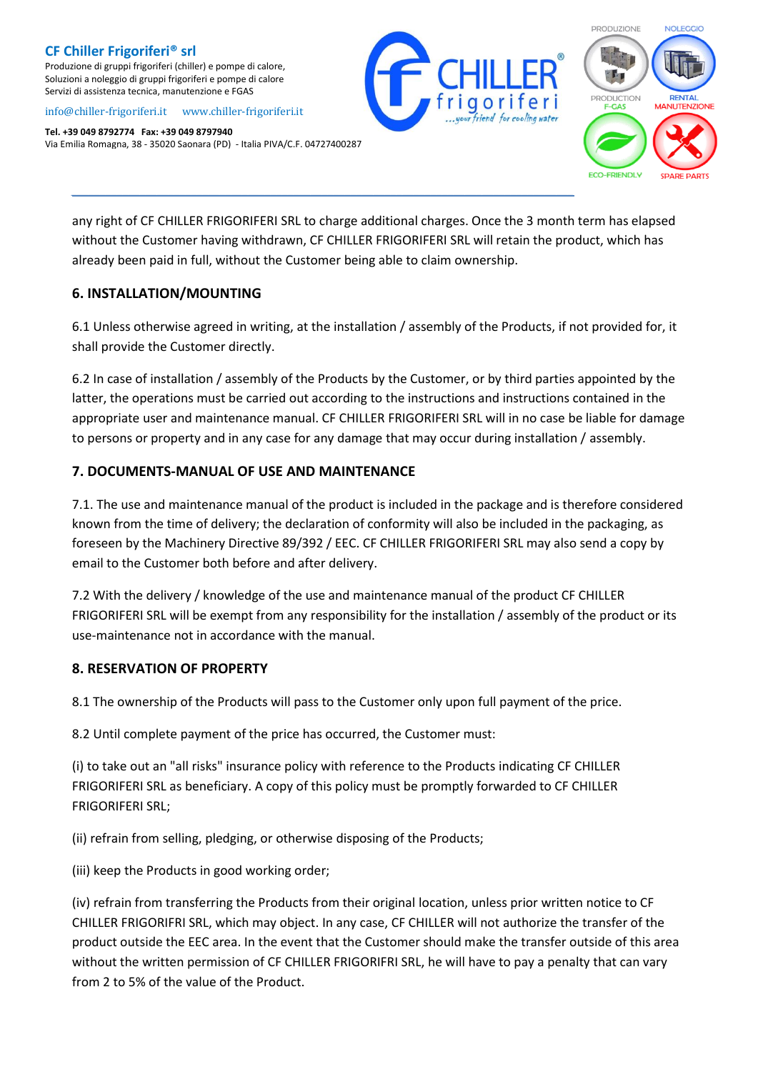Produzione di gruppi frigoriferi (chiller) e pompe di calore, Soluzioni a noleggio di gruppi frigoriferi e pompe di calore Servizi di assistenza tecnica, manutenzione e FGAS

#### [info@chiller-frigoriferi.it](mailto:info@chiller-frigoriferi.it)[www.chiller-frigoriferi.it](http://www.chiller-frigoriferi.it/)

**Tel. +39 049 8792774 Fax: +39 049 8797940** Via Emilia Romagna, 38 - 35020 Saonara (PD) - Italia PIVA/C.F. 04727400287



any right of CF CHILLER FRIGORIFERI SRL to charge additional charges. Once the 3 month term has elapsed without the Customer having withdrawn, CF CHILLER FRIGORIFERI SRL will retain the product, which has already been paid in full, without the Customer being able to claim ownership.

#### **6. INSTALLATION/MOUNTING**

6.1 Unless otherwise agreed in writing, at the installation / assembly of the Products, if not provided for, it shall provide the Customer directly.

6.2 In case of installation / assembly of the Products by the Customer, or by third parties appointed by the latter, the operations must be carried out according to the instructions and instructions contained in the appropriate user and maintenance manual. CF CHILLER FRIGORIFERI SRL will in no case be liable for damage to persons or property and in any case for any damage that may occur during installation / assembly.

### **7. DOCUMENTS-MANUAL OF USE AND MAINTENANCE**

7.1. The use and maintenance manual of the product is included in the package and is therefore considered known from the time of delivery; the declaration of conformity will also be included in the packaging, as foreseen by the Machinery Directive 89/392 / EEC. CF CHILLER FRIGORIFERI SRL may also send a copy by email to the Customer both before and after delivery.

7.2 With the delivery / knowledge of the use and maintenance manual of the product CF CHILLER FRIGORIFERI SRL will be exempt from any responsibility for the installation / assembly of the product or its use-maintenance not in accordance with the manual.

### **8. RESERVATION OF PROPERTY**

8.1 The ownership of the Products will pass to the Customer only upon full payment of the price.

8.2 Until complete payment of the price has occurred, the Customer must:

(i) to take out an "all risks" insurance policy with reference to the Products indicating CF CHILLER FRIGORIFERI SRL as beneficiary. A copy of this policy must be promptly forwarded to CF CHILLER FRIGORIFERI SRL;

(ii) refrain from selling, pledging, or otherwise disposing of the Products;

(iii) keep the Products in good working order;

(iv) refrain from transferring the Products from their original location, unless prior written notice to CF CHILLER FRIGORIFRI SRL, which may object. In any case, CF CHILLER will not authorize the transfer of the product outside the EEC area. In the event that the Customer should make the transfer outside of this area without the written permission of CF CHILLER FRIGORIFRI SRL, he will have to pay a penalty that can vary from 2 to 5% of the value of the Product.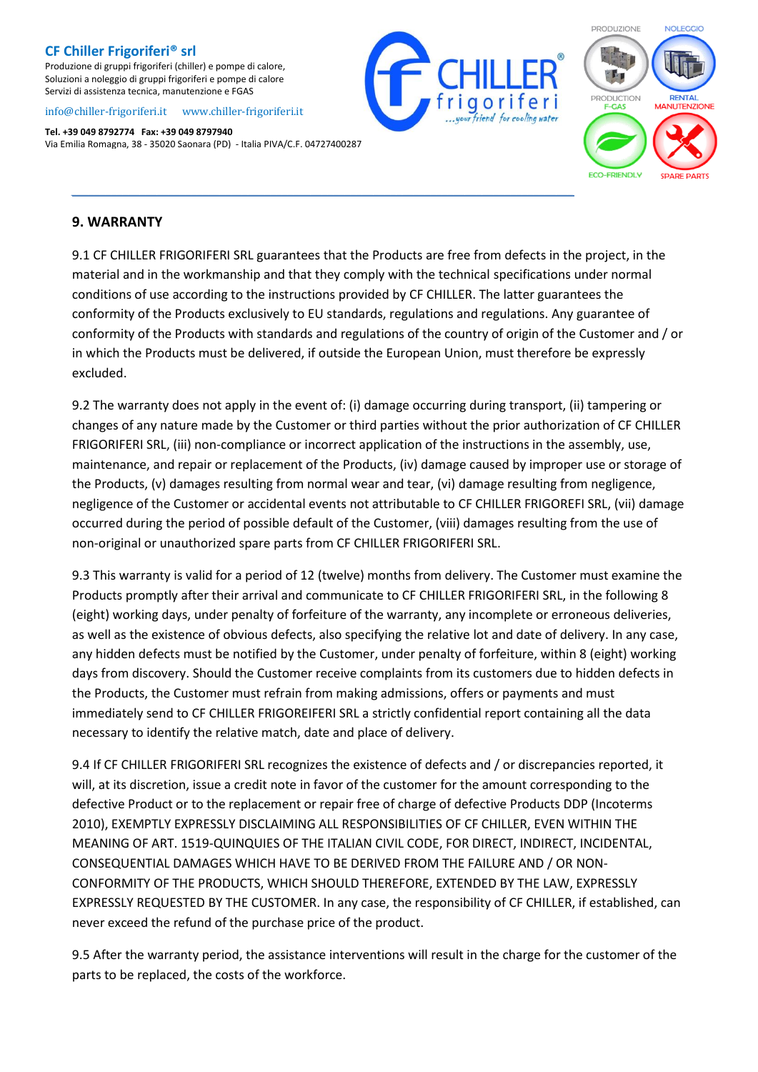Produzione di gruppi frigoriferi (chiller) e pompe di calore, Soluzioni a noleggio di gruppi frigoriferi e pompe di calore Servizi di assistenza tecnica, manutenzione e FGAS

#### [info@chiller-frigoriferi.it](mailto:info@chiller-frigoriferi.it)[www.chiller-frigoriferi.it](http://www.chiller-frigoriferi.it/)

**Tel. +39 049 8792774 Fax: +39 049 8797940** Via Emilia Romagna, 38 - 35020 Saonara (PD) - Italia PIVA/C.F. 04727400287





#### **9. WARRANTY**

9.1 CF CHILLER FRIGORIFERI SRL guarantees that the Products are free from defects in the project, in the material and in the workmanship and that they comply with the technical specifications under normal conditions of use according to the instructions provided by CF CHILLER. The latter guarantees the conformity of the Products exclusively to EU standards, regulations and regulations. Any guarantee of conformity of the Products with standards and regulations of the country of origin of the Customer and / or in which the Products must be delivered, if outside the European Union, must therefore be expressly excluded.

*\_\_\_\_\_\_\_\_\_\_\_\_\_\_\_\_\_\_\_\_\_\_\_\_\_\_\_\_\_\_\_\_\_\_\_\_\_\_\_\_\_\_\_\_\_\_\_\_\_\_\_\_\_\_\_\_\_\_\_\_\_\_\_\_\_\_\_\_\_\_\_\_\_\_\_\_\_\_\_\_\_\_\_\_\_\_\_\_*

9.2 The warranty does not apply in the event of: (i) damage occurring during transport, (ii) tampering or changes of any nature made by the Customer or third parties without the prior authorization of CF CHILLER FRIGORIFERI SRL, (iii) non-compliance or incorrect application of the instructions in the assembly, use, maintenance, and repair or replacement of the Products, (iv) damage caused by improper use or storage of the Products, (v) damages resulting from normal wear and tear, (vi) damage resulting from negligence, negligence of the Customer or accidental events not attributable to CF CHILLER FRIGOREFI SRL, (vii) damage occurred during the period of possible default of the Customer, (viii) damages resulting from the use of non-original or unauthorized spare parts from CF CHILLER FRIGORIFERI SRL.

9.3 This warranty is valid for a period of 12 (twelve) months from delivery. The Customer must examine the Products promptly after their arrival and communicate to CF CHILLER FRIGORIFERI SRL, in the following 8 (eight) working days, under penalty of forfeiture of the warranty, any incomplete or erroneous deliveries, as well as the existence of obvious defects, also specifying the relative lot and date of delivery. In any case, any hidden defects must be notified by the Customer, under penalty of forfeiture, within 8 (eight) working days from discovery. Should the Customer receive complaints from its customers due to hidden defects in the Products, the Customer must refrain from making admissions, offers or payments and must immediately send to CF CHILLER FRIGOREIFERI SRL a strictly confidential report containing all the data necessary to identify the relative match, date and place of delivery.

9.4 If CF CHILLER FRIGORIFERI SRL recognizes the existence of defects and / or discrepancies reported, it will, at its discretion, issue a credit note in favor of the customer for the amount corresponding to the defective Product or to the replacement or repair free of charge of defective Products DDP (Incoterms 2010), EXEMPTLY EXPRESSLY DISCLAIMING ALL RESPONSIBILITIES OF CF CHILLER, EVEN WITHIN THE MEANING OF ART. 1519-QUINQUIES OF THE ITALIAN CIVIL CODE, FOR DIRECT, INDIRECT, INCIDENTAL, CONSEQUENTIAL DAMAGES WHICH HAVE TO BE DERIVED FROM THE FAILURE AND / OR NON-CONFORMITY OF THE PRODUCTS, WHICH SHOULD THEREFORE, EXTENDED BY THE LAW, EXPRESSLY EXPRESSLY REQUESTED BY THE CUSTOMER. In any case, the responsibility of CF CHILLER, if established, can never exceed the refund of the purchase price of the product.

9.5 After the warranty period, the assistance interventions will result in the charge for the customer of the parts to be replaced, the costs of the workforce.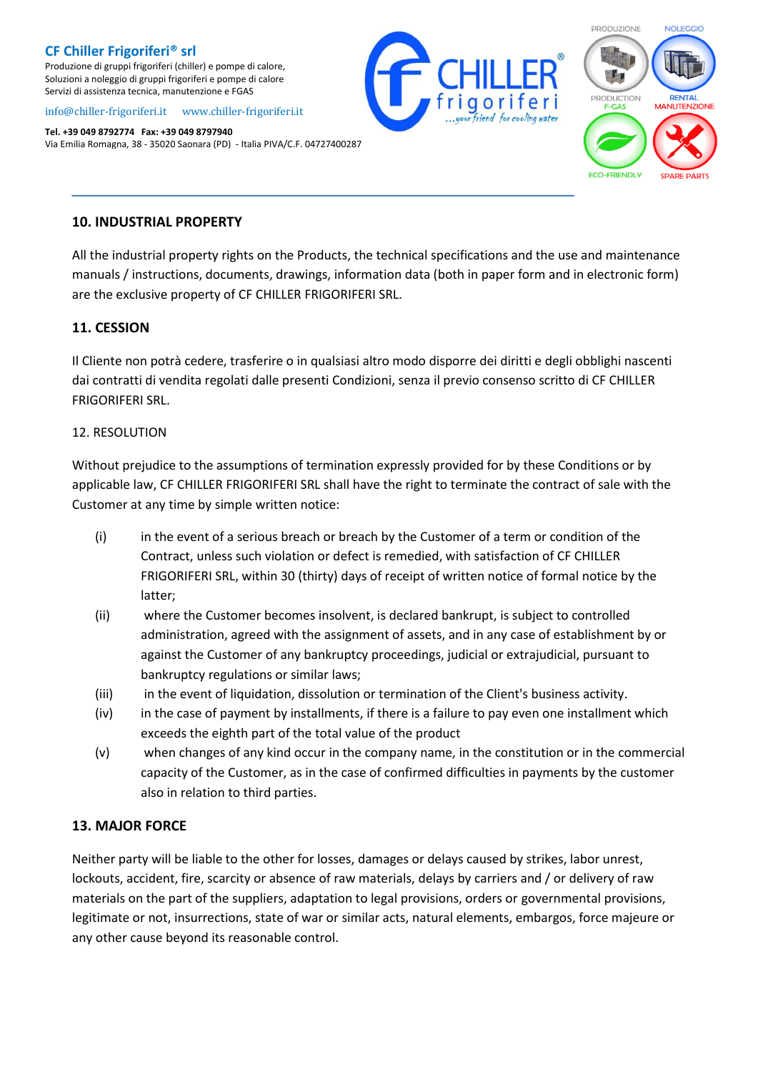Produzione di gruppi frigoriferi (chiller) e pompe di calore, Soluzioni a noleggio di gruppi frigoriferi e pompe di calore Servizi di assistenza tecnica, manutenzione e FGAS

#### [info@chiller-frigoriferi.it](mailto:info@chiller-frigoriferi.it)[www.chiller-frigoriferi.it](http://www.chiller-frigoriferi.it/)

**Tel. +39 049 8792774 Fax: +39 049 8797940** Via Emilia Romagna, 38 - 35020 Saonara (PD) - Italia PIVA/C.F. 04727400287





#### **10. INDUSTRIAL PROPERTY**

All the industrial property rights on the Products, the technical specifications and the use and maintenance manuals / instructions, documents, drawings, information data (both in paper form and in electronic form) are the exclusive property of CF CHILLER FRIGORIFERI SRL.

*\_\_\_\_\_\_\_\_\_\_\_\_\_\_\_\_\_\_\_\_\_\_\_\_\_\_\_\_\_\_\_\_\_\_\_\_\_\_\_\_\_\_\_\_\_\_\_\_\_\_\_\_\_\_\_\_\_\_\_\_\_\_\_\_\_\_\_\_\_\_\_\_\_\_\_\_\_\_\_\_\_\_\_\_\_\_\_\_*

### **11. CESSION**

Il Cliente non potrà cedere, trasferire o in qualsiasi altro modo disporre dei diritti e degli obblighi nascenti dai contratti di vendita regolati dalle presenti Condizioni, senza il previo consenso scritto di CF CHILLER FRIGORIFERI SRL.

#### 12. RESOLUTION

Without prejudice to the assumptions of termination expressly provided for by these Conditions or by applicable law, CF CHILLER FRIGORIFERI SRL shall have the right to terminate the contract of sale with the Customer at any time by simple written notice:

- (i) in the event of a serious breach or breach by the Customer of a term or condition of the Contract, unless such violation or defect is remedied, with satisfaction of CF CHILLER FRIGORIFERI SRL, within 30 (thirty) days of receipt of written notice of formal notice by the latter;
- (ii) where the Customer becomes insolvent, is declared bankrupt, is subject to controlled administration, agreed with the assignment of assets, and in any case of establishment by or against the Customer of any bankruptcy proceedings, judicial or extrajudicial, pursuant to bankruptcy regulations or similar laws;
- (iii) in the event of liquidation, dissolution or termination of the Client's business activity.
- (iv) in the case of payment by installments, if there is a failure to pay even one installment which exceeds the eighth part of the total value of the product
- (v) when changes of any kind occur in the company name, in the constitution or in the commercial capacity of the Customer, as in the case of confirmed difficulties in payments by the customer also in relation to third parties.

### **13. MAJOR FORCE**

Neither party will be liable to the other for losses, damages or delays caused by strikes, labor unrest, lockouts, accident, fire, scarcity or absence of raw materials, delays by carriers and / or delivery of raw materials on the part of the suppliers, adaptation to legal provisions, orders or governmental provisions, legitimate or not, insurrections, state of war or similar acts, natural elements, embargos, force majeure or any other cause beyond its reasonable control.